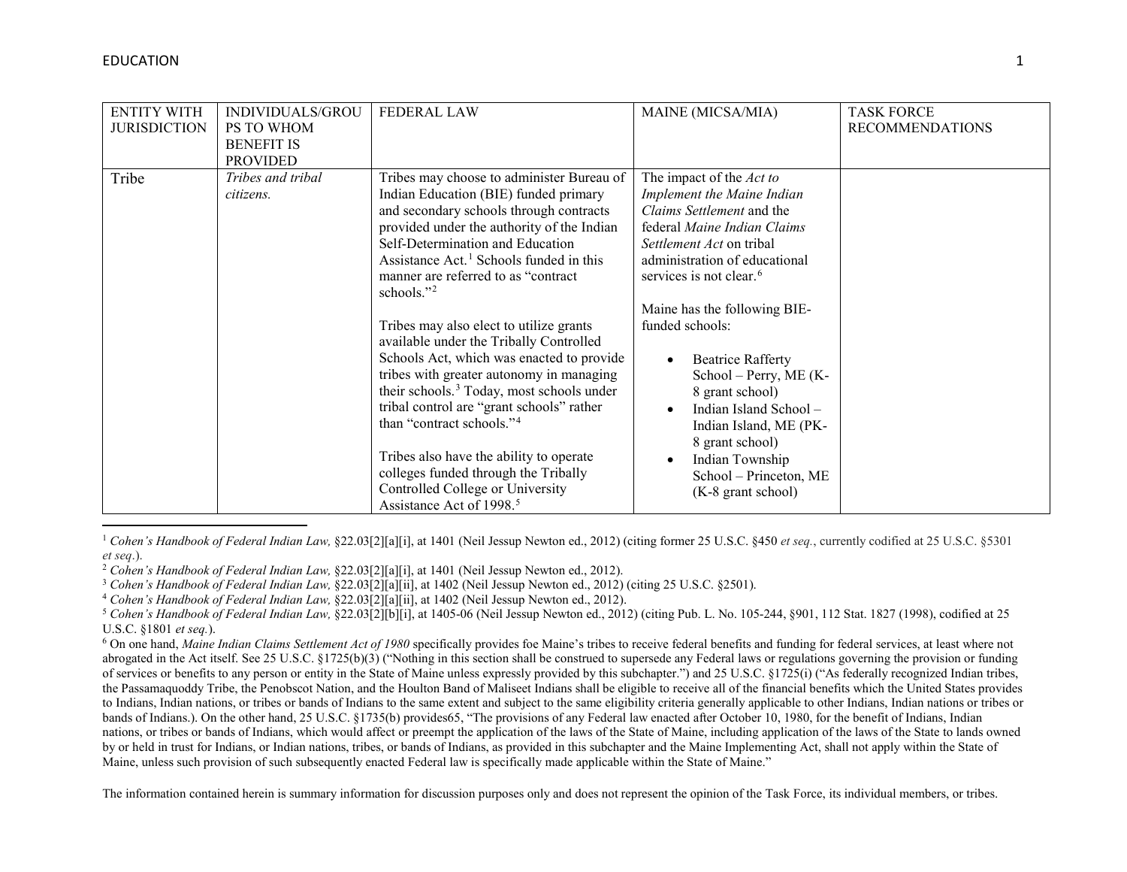l

<span id="page-0-5"></span><span id="page-0-4"></span><span id="page-0-3"></span><span id="page-0-2"></span><span id="page-0-1"></span><span id="page-0-0"></span>

| <b>ENTITY WITH</b><br><b>JURISDICTION</b> | INDIVIDUALS/GROU<br>PS TO WHOM<br><b>BENEFIT IS</b><br><b>PROVIDED</b> | <b>FEDERAL LAW</b>                                                                                                                                                                                                                                                                                                                                                                                                                                                                                                                                                                                                                                                                                                                                                                                                              | MAINE (MICSA/MIA)                                                                                                                                                                                                                                                                                                                                                                                                                                                                                      | <b>TASK FORCE</b><br><b>RECOMMENDATIONS</b> |
|-------------------------------------------|------------------------------------------------------------------------|---------------------------------------------------------------------------------------------------------------------------------------------------------------------------------------------------------------------------------------------------------------------------------------------------------------------------------------------------------------------------------------------------------------------------------------------------------------------------------------------------------------------------------------------------------------------------------------------------------------------------------------------------------------------------------------------------------------------------------------------------------------------------------------------------------------------------------|--------------------------------------------------------------------------------------------------------------------------------------------------------------------------------------------------------------------------------------------------------------------------------------------------------------------------------------------------------------------------------------------------------------------------------------------------------------------------------------------------------|---------------------------------------------|
| Tribe                                     | Tribes and tribal<br>citizens.                                         | Tribes may choose to administer Bureau of<br>Indian Education (BIE) funded primary<br>and secondary schools through contracts<br>provided under the authority of the Indian<br>Self-Determination and Education<br>Assistance Act. <sup>1</sup> Schools funded in this<br>manner are referred to as "contract"<br>schools." $^{2}$<br>Tribes may also elect to utilize grants<br>available under the Tribally Controlled<br>Schools Act, which was enacted to provide<br>tribes with greater autonomy in managing<br>their schools. <sup>3</sup> Today, most schools under<br>tribal control are "grant schools" rather<br>than "contract schools." <sup>4</sup><br>Tribes also have the ability to operate<br>colleges funded through the Tribally<br>Controlled College or University<br>Assistance Act of 1998. <sup>5</sup> | The impact of the Act to<br>Implement the Maine Indian<br>Claims Settlement and the<br>federal Maine Indian Claims<br><i>Settlement Act</i> on tribal<br>administration of educational<br>services is not clear. <sup>6</sup><br>Maine has the following BIE-<br>funded schools:<br><b>Beatrice Rafferty</b><br>School - Perry, ME (K-<br>8 grant school)<br>Indian Island School -<br>Indian Island, ME (PK-<br>8 grant school)<br>Indian Township<br>School - Princeton, ME<br>$(K-8)$ grant school) |                                             |

<sup>1</sup> Cohen's Handbook of Federal Indian Law, §22.03[2][a][i], at 1401 (Neil Jessup Newton ed., 2012) (citing former 25 U.S.C. §450 *et seq.*, currently codified at 25 U.S.C. §5301 *et seq*.). 2 *Cohen's Handbook of Federal Indian Law,* §22.03[2][a][i], at 1401 (Neil Jessup Newton ed., 2012).

<sup>3</sup> *Cohen's Handbook of Federal Indian Law,* §22.03[2][a][ii], at 1402 (Neil Jessup Newton ed., 2012) (citing 25 U.S.C. §2501).

<sup>4</sup> *Cohen's Handbook of Federal Indian Law,* §22.03[2][a][ii], at 1402 (Neil Jessup Newton ed., 2012).

<sup>5</sup> *Cohen's Handbook of Federal Indian Law,* §22.03[2][b][i], at 1405-06 (Neil Jessup Newton ed., 2012) (citing Pub. L. No. 105-244, §901, 112 Stat. 1827 (1998), codified at 25 U.S.C. §1801 *et seq.*).

<sup>6</sup> On one hand, *Maine Indian Claims Settlement Act of 1980* specifically provides foe Maine's tribes to receive federal benefits and funding for federal services, at least where not abrogated in the Act itself. See 25 U.S.C. §1725(b)(3) ("Nothing in this section shall be construed to supersede any Federal laws or regulations governing the provision or funding of services or benefits to any person or entity in the State of Maine unless expressly provided by this subchapter.") and 25 U.S.C. §1725(i) ("As federally recognized Indian tribes, the Passamaquoddy Tribe, the Penobscot Nation, and the Houlton Band of Maliseet Indians shall be eligible to receive all of the financial benefits which the United States provides to Indians, Indian nations, or tribes or bands of Indians to the same extent and subject to the same eligibility criteria generally applicable to other Indians, Indian nations or tribes or bands of Indians.). On the other hand, 25 U.S.C. §1735(b) provides65, "The provisions of any Federal law enacted after October 10, 1980, for the benefit of Indians, Indian nations, or tribes or bands of Indians, which would affect or preempt the application of the laws of the State of Maine, including application of the laws of the State to lands owned by or held in trust for Indians, or Indian nations, tribes, or bands of Indians, as provided in this subchapter and the Maine Implementing Act, shall not apply within the State of Maine, unless such provision of such subsequently enacted Federal law is specifically made applicable within the State of Maine."

The information contained herein is summary information for discussion purposes only and does not represent the opinion of the Task Force, its individual members, or tribes.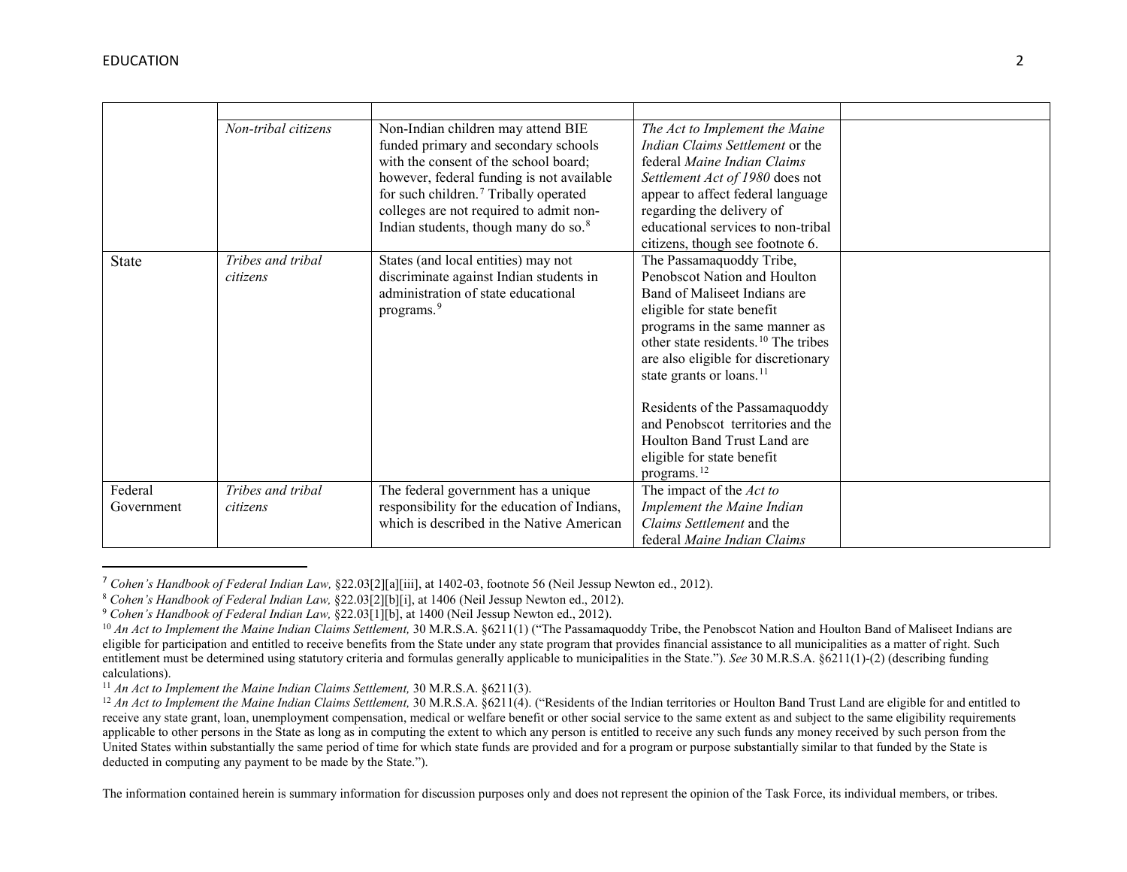<span id="page-1-5"></span><span id="page-1-4"></span><span id="page-1-3"></span><span id="page-1-2"></span><span id="page-1-1"></span><span id="page-1-0"></span>

|                       | Non-tribal citizens           | Non-Indian children may attend BIE<br>funded primary and secondary schools<br>with the consent of the school board;<br>however, federal funding is not available<br>for such children. <sup>7</sup> Tribally operated<br>colleges are not required to admit non-<br>Indian students, though many do so. <sup>8</sup> | The Act to Implement the Maine<br>Indian Claims Settlement or the<br>federal Maine Indian Claims<br>Settlement Act of 1980 does not<br>appear to affect federal language<br>regarding the delivery of<br>educational services to non-tribal<br>citizens, though see footnote 6.                                                                                                                                                                           |  |
|-----------------------|-------------------------------|----------------------------------------------------------------------------------------------------------------------------------------------------------------------------------------------------------------------------------------------------------------------------------------------------------------------|-----------------------------------------------------------------------------------------------------------------------------------------------------------------------------------------------------------------------------------------------------------------------------------------------------------------------------------------------------------------------------------------------------------------------------------------------------------|--|
| <b>State</b>          | Tribes and tribal<br>citizens | States (and local entities) may not<br>discriminate against Indian students in<br>administration of state educational<br>programs. <sup>9</sup>                                                                                                                                                                      | The Passamaquoddy Tribe,<br>Penobscot Nation and Houlton<br>Band of Maliseet Indians are<br>eligible for state benefit<br>programs in the same manner as<br>other state residents. <sup>10</sup> The tribes<br>are also eligible for discretionary<br>state grants or loans. <sup>11</sup><br>Residents of the Passamaquoddy<br>and Penobscot territories and the<br>Houlton Band Trust Land are<br>eligible for state benefit<br>programs. <sup>12</sup> |  |
| Federal<br>Government | Tribes and tribal<br>citizens | The federal government has a unique<br>responsibility for the education of Indians,<br>which is described in the Native American                                                                                                                                                                                     | The impact of the Act to<br>Implement the Maine Indian<br>Claims Settlement and the<br>federal Maine Indian Claims                                                                                                                                                                                                                                                                                                                                        |  |

 <sup>7</sup> *Cohen's Handbook of Federal Indian Law,* §22.03[2][a][iii], at 1402-03, footnote 56 (Neil Jessup Newton ed., 2012).

The information contained herein is summary information for discussion purposes only and does not represent the opinion of the Task Force, its individual members, or tribes.

<sup>8</sup> *Cohen's Handbook of Federal Indian Law,* §22.03[2][b][i], at 1406 (Neil Jessup Newton ed., 2012).

<sup>9</sup> *Cohen's Handbook of Federal Indian Law,* §22.03[1][b], at 1400 (Neil Jessup Newton ed., 2012).

<sup>&</sup>lt;sup>10</sup> An Act to Implement the Maine Indian Claims Settlement, 30 M.R.S.A. §6211(1) ("The Passamaquoddy Tribe, the Penobscot Nation and Houlton Band of Maliseet Indians are eligible for participation and entitled to receive benefits from the State under any state program that provides financial assistance to all municipalities as a matter of right. Such entitlement must be determined using statutory criteria and formulas generally applicable to municipalities in the State."). *See* 30 M.R.S.A. §6211(1)-(2) (describing funding calculations). 11 *An Act to Implement the Maine Indian Claims Settlement,* 30 M.R.S.A. §6211(3).

<sup>&</sup>lt;sup>12</sup> *An Act to Implement the Maine Indian Claims Settlement,* 30 M.R.S.A. §6211(4). ("Residents of the Indian territories or Houlton Band Trust Land are eligible for and entitled to receive any state grant, loan, unemployment compensation, medical or welfare benefit or other social service to the same extent as and subject to the same eligibility requirements applicable to other persons in the State as long as in computing the extent to which any person is entitled to receive any such funds any money received by such person from the United States within substantially the same period of time for which state funds are provided and for a program or purpose substantially similar to that funded by the State is deducted in computing any payment to be made by the State.").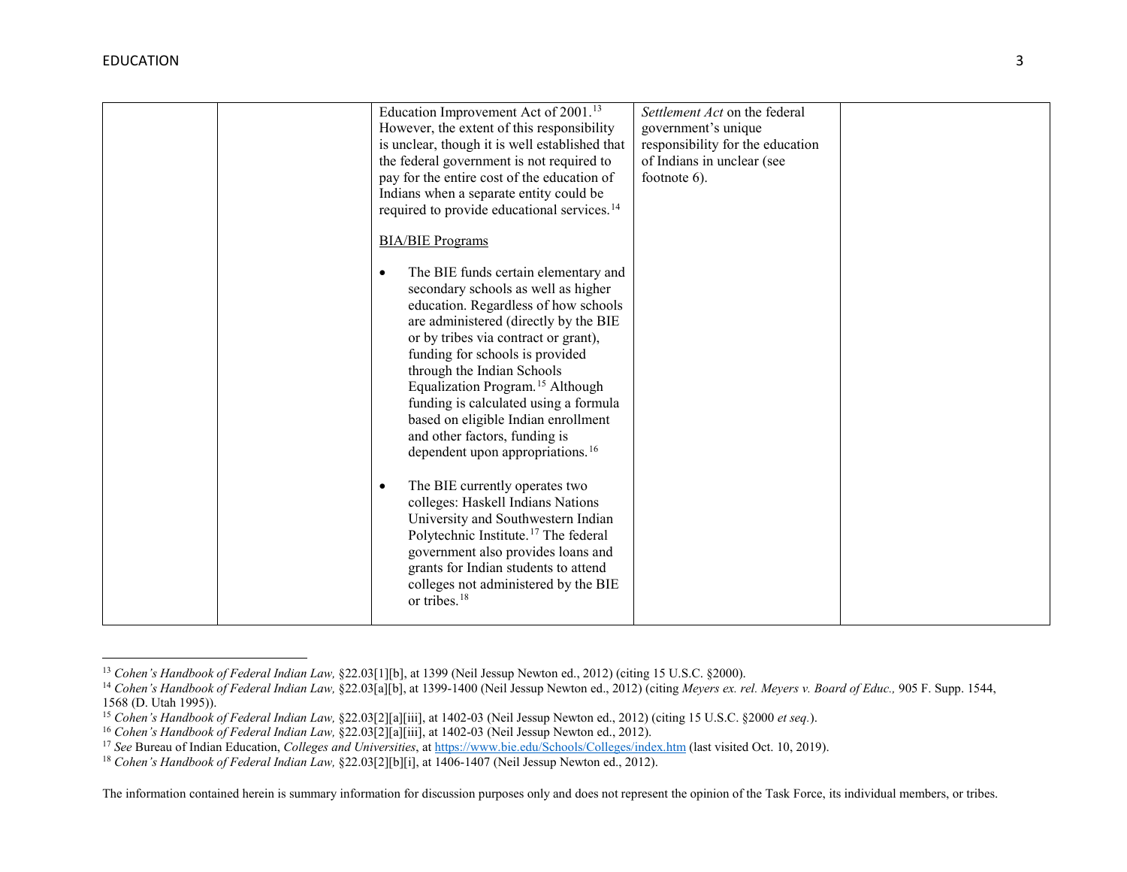$\overline{\phantom{a}}$ 

<span id="page-2-5"></span><span id="page-2-4"></span><span id="page-2-3"></span><span id="page-2-2"></span><span id="page-2-1"></span><span id="page-2-0"></span>

| Education Improvement Act of $2001.^{13}$<br>Settlement Act on the federal<br>However, the extent of this responsibility<br>government's unique<br>is unclear, though it is well established that<br>responsibility for the education<br>the federal government is not required to<br>of Indians in unclear (see |
|------------------------------------------------------------------------------------------------------------------------------------------------------------------------------------------------------------------------------------------------------------------------------------------------------------------|
|------------------------------------------------------------------------------------------------------------------------------------------------------------------------------------------------------------------------------------------------------------------------------------------------------------------|

<sup>13</sup> *Cohen's Handbook of Federal Indian Law,* §22.03[1][b], at 1399 (Neil Jessup Newton ed., 2012) (citing 15 U.S.C. §2000).

<sup>14</sup> *Cohen's Handbook of Federal Indian Law,* §22.03[a][b], at 1399-1400 (Neil Jessup Newton ed., 2012) (citing *Meyers ex. rel. Meyers v. Board of Educ.,* 905 F. Supp. 1544, 1568 (D. Utah 1995)).

<sup>15</sup> *Cohen's Handbook of Federal Indian Law,* §22.03[2][a][iii], at 1402-03 (Neil Jessup Newton ed., 2012) (citing 15 U.S.C. §2000 *et seq.*).

<sup>16</sup> *Cohen's Handbook of Federal Indian Law,* §22.03[2][a][iii], at 1402-03 (Neil Jessup Newton ed., 2012).

<sup>17</sup> *See* Bureau of Indian Education, *Colleges and Universities*, a[t https://www.bie.edu/Schools/Colleges/index.htm](https://www.bie.edu/Schools/Colleges/index.htm) (last visited Oct. 10, 2019).

<sup>18</sup> *Cohen's Handbook of Federal Indian Law,* §22.03[2][b][i], at 1406-1407 (Neil Jessup Newton ed., 2012).

The information contained herein is summary information for discussion purposes only and does not represent the opinion of the Task Force, its individual members, or tribes.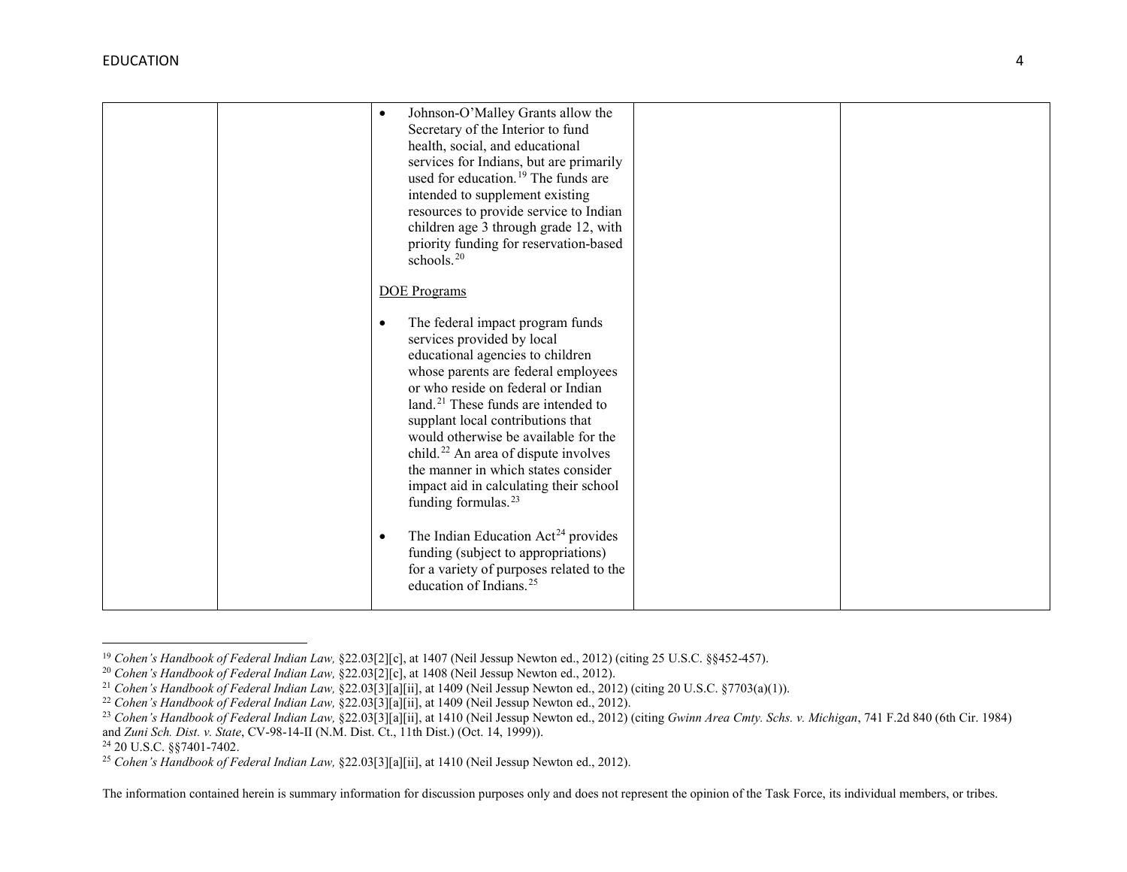<span id="page-3-6"></span><span id="page-3-5"></span><span id="page-3-4"></span><span id="page-3-3"></span><span id="page-3-2"></span><span id="page-3-1"></span><span id="page-3-0"></span>

|  | Johnson-O'Malley Grants allow the<br>$\bullet$<br>Secretary of the Interior to fund<br>health, social, and educational<br>services for Indians, but are primarily<br>used for education. <sup>19</sup> The funds are<br>intended to supplement existing<br>resources to provide service to Indian                                                                                                                                                                                            |  |
|--|----------------------------------------------------------------------------------------------------------------------------------------------------------------------------------------------------------------------------------------------------------------------------------------------------------------------------------------------------------------------------------------------------------------------------------------------------------------------------------------------|--|
|  | children age 3 through grade 12, with<br>priority funding for reservation-based<br>schools. $20$                                                                                                                                                                                                                                                                                                                                                                                             |  |
|  | <b>DOE</b> Programs                                                                                                                                                                                                                                                                                                                                                                                                                                                                          |  |
|  | The federal impact program funds<br>٠<br>services provided by local<br>educational agencies to children<br>whose parents are federal employees<br>or who reside on federal or Indian<br>land. <sup>21</sup> These funds are intended to<br>supplant local contributions that<br>would otherwise be available for the<br>child. <sup>22</sup> An area of dispute involves<br>the manner in which states consider<br>impact aid in calculating their school<br>funding formulas. <sup>23</sup> |  |
|  | The Indian Education Act <sup>24</sup> provides<br>funding (subject to appropriations)<br>for a variety of purposes related to the<br>education of Indians. <sup>25</sup>                                                                                                                                                                                                                                                                                                                    |  |

<sup>19</sup> *Cohen's Handbook of Federal Indian Law,* §22.03[2][c], at 1407 (Neil Jessup Newton ed., 2012) (citing 25 U.S.C. §§452-457).

l

<sup>20</sup> *Cohen's Handbook of Federal Indian Law,* §22.03[2][c], at 1408 (Neil Jessup Newton ed., 2012).

<sup>21</sup> *Cohen's Handbook of Federal Indian Law,* §22.03[3][a][ii], at 1409 (Neil Jessup Newton ed., 2012) (citing 20 U.S.C. §7703(a)(1)).

<sup>22</sup> *Cohen's Handbook of Federal Indian Law,* §22.03[3][a][ii], at 1409 (Neil Jessup Newton ed., 2012).

<sup>&</sup>lt;sup>23</sup> Cohen's Handbook of Federal Indian Law, §22.03[3][a][ii], at 1410 (Neil Jessup Newton ed., 2012) (citing *Gwinn Area Cmty. Schs. v. Michigan*, 741 F.2d 840 (6th Cir. 1984) and *Zuni Sch. Dist. v. State*, CV-98-14-II (N.M. Dist. Ct., 11th Dist.) (Oct. 14, 1999)).

<sup>24</sup> 20 U.S.C. §§7401-7402.

<sup>25</sup> *Cohen's Handbook of Federal Indian Law,* §22.03[3][a][ii], at 1410 (Neil Jessup Newton ed., 2012).

The information contained herein is summary information for discussion purposes only and does not represent the opinion of the Task Force, its individual members, or tribes.